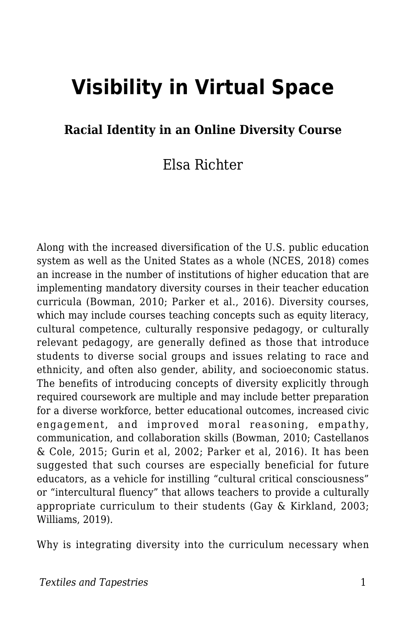# **Visibility in Virtual Space**

#### **Racial Identity in an Online Diversity Course**

#### Elsa Richter

Along with the increased diversification of the U.S. public education system as well as the United States as a whole (NCES, 2018) comes an increase in the number of institutions of higher education that are implementing mandatory diversity courses in their teacher education curricula (Bowman, 2010; Parker et al., 2016). Diversity courses, which may include courses teaching concepts such as equity literacy, cultural competence, culturally responsive pedagogy, or culturally relevant pedagogy, are generally defined as those that introduce students to diverse social groups and issues relating to race and ethnicity, and often also gender, ability, and socioeconomic status. The benefits of introducing concepts of diversity explicitly through required coursework are multiple and may include better preparation for a diverse workforce, better educational outcomes, increased civic engagement, and improved moral reasoning, empathy, communication, and collaboration skills (Bowman, 2010; Castellanos & Cole, 2015; Gurin et al, 2002; Parker et al, 2016). It has been suggested that such courses are especially beneficial for future educators, as a vehicle for instilling "cultural critical consciousness" or "intercultural fluency" that allows teachers to provide a culturally appropriate curriculum to their students (Gay & Kirkland, 2003; Williams, 2019).

Why is integrating diversity into the curriculum necessary when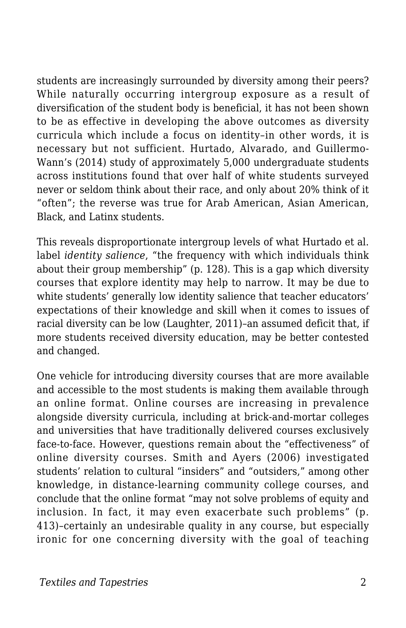students are increasingly surrounded by diversity among their peers? While naturally occurring intergroup exposure as a result of diversification of the student body is beneficial, it has not been shown to be as effective in developing the above outcomes as diversity curricula which include a focus on identity–in other words, it is necessary but not sufficient. Hurtado, Alvarado, and Guillermo-Wann's (2014) study of approximately 5,000 undergraduate students across institutions found that over half of white students surveyed never or seldom think about their race, and only about 20% think of it "often"; the reverse was true for Arab American, Asian American, Black, and Latinx students.

This reveals disproportionate intergroup levels of what Hurtado et al. label *identity salience*, "the frequency with which individuals think about their group membership" (p. 128). This is a gap which diversity courses that explore identity may help to narrow. It may be due to white students' generally low identity salience that teacher educators' expectations of their knowledge and skill when it comes to issues of racial diversity can be low (Laughter, 2011)–an assumed deficit that, if more students received diversity education, may be better contested and changed.

One vehicle for introducing diversity courses that are more available and accessible to the most students is making them available through an online format. Online courses are increasing in prevalence alongside diversity curricula, including at brick-and-mortar colleges and universities that have traditionally delivered courses exclusively face-to-face. However, questions remain about the "effectiveness" of online diversity courses. Smith and Ayers (2006) investigated students' relation to cultural "insiders" and "outsiders," among other knowledge, in distance-learning community college courses, and conclude that the online format "may not solve problems of equity and inclusion. In fact, it may even exacerbate such problems" (p. 413)–certainly an undesirable quality in any course, but especially ironic for one concerning diversity with the goal of teaching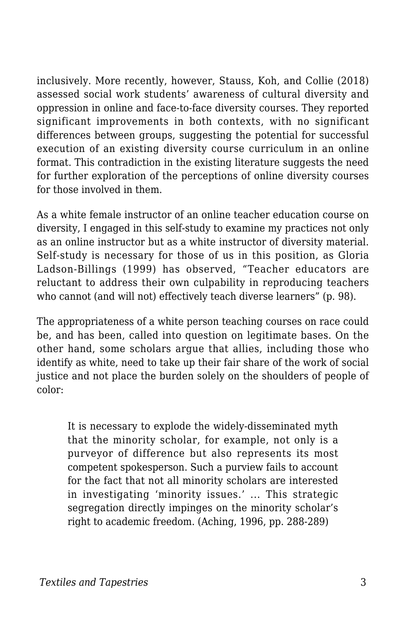inclusively. More recently, however, Stauss, Koh, and Collie (2018) assessed social work students' awareness of cultural diversity and oppression in online and face-to-face diversity courses. They reported significant improvements in both contexts, with no significant differences between groups, suggesting the potential for successful execution of an existing diversity course curriculum in an online format. This contradiction in the existing literature suggests the need for further exploration of the perceptions of online diversity courses for those involved in them.

As a white female instructor of an online teacher education course on diversity, I engaged in this self-study to examine my practices not only as an online instructor but as a white instructor of diversity material. Self-study is necessary for those of us in this position, as Gloria Ladson-Billings (1999) has observed, "Teacher educators are reluctant to address their own culpability in reproducing teachers who cannot (and will not) effectively teach diverse learners" (p. 98).

The appropriateness of a white person teaching courses on race could be, and has been, called into question on legitimate bases. On the other hand, some scholars argue that allies, including those who identify as white, need to take up their fair share of the work of social justice and not place the burden solely on the shoulders of people of color:

It is necessary to explode the widely-disseminated myth that the minority scholar, for example, not only is a purveyor of difference but also represents its most competent spokesperson. Such a purview fails to account for the fact that not all minority scholars are interested in investigating 'minority issues.' ... This strategic segregation directly impinges on the minority scholar's right to academic freedom. (Aching, 1996, pp. 288-289)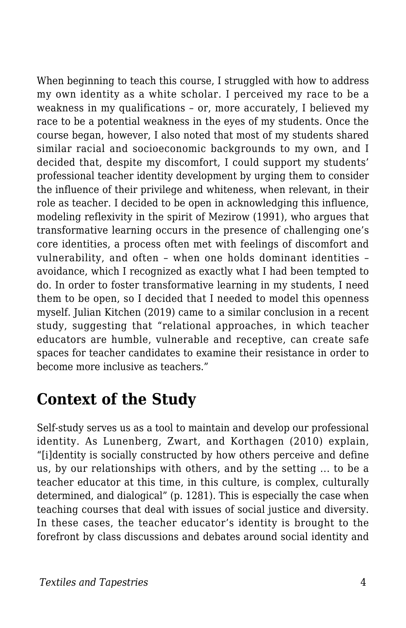When beginning to teach this course, I struggled with how to address my own identity as a white scholar. I perceived my race to be a weakness in my qualifications – or, more accurately, I believed my race to be a potential weakness in the eyes of my students. Once the course began, however, I also noted that most of my students shared similar racial and socioeconomic backgrounds to my own, and I decided that, despite my discomfort, I could support my students' professional teacher identity development by urging them to consider the influence of their privilege and whiteness, when relevant, in their role as teacher. I decided to be open in acknowledging this influence, modeling reflexivity in the spirit of Mezirow (1991), who argues that transformative learning occurs in the presence of challenging one's core identities, a process often met with feelings of discomfort and vulnerability, and often – when one holds dominant identities – avoidance, which I recognized as exactly what I had been tempted to do. In order to foster transformative learning in my students, I need them to be open, so I decided that I needed to model this openness myself. Julian Kitchen (2019) came to a similar conclusion in a recent study, suggesting that "relational approaches, in which teacher educators are humble, vulnerable and receptive, can create safe spaces for teacher candidates to examine their resistance in order to become more inclusive as teachers."

### **Context of the Study**

Self-study serves us as a tool to maintain and develop our professional identity. As Lunenberg, Zwart, and Korthagen (2010) explain, "[i]dentity is socially constructed by how others perceive and define us, by our relationships with others, and by the setting ... to be a teacher educator at this time, in this culture, is complex, culturally determined, and dialogical" (p. 1281). This is especially the case when teaching courses that deal with issues of social justice and diversity. In these cases, the teacher educator's identity is brought to the forefront by class discussions and debates around social identity and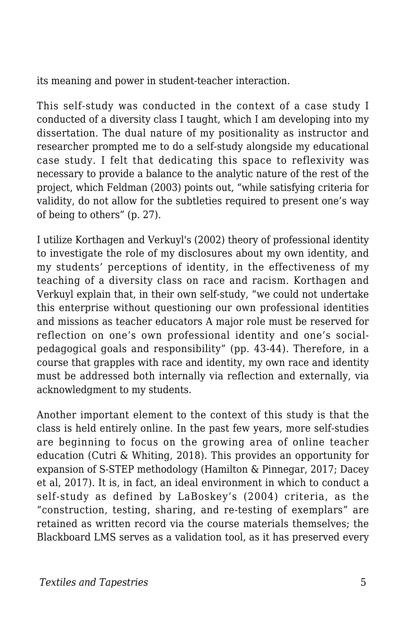its meaning and power in student-teacher interaction.

This self-study was conducted in the context of a case study I conducted of a diversity class I taught, which I am developing into my dissertation. The dual nature of my positionality as instructor and researcher prompted me to do a self-study alongside my educational case study. I felt that dedicating this space to reflexivity was necessary to provide a balance to the analytic nature of the rest of the project, which Feldman (2003) points out, "while satisfying criteria for validity, do not allow for the subtleties required to present one's way of being to others" (p. 27).

I utilize Korthagen and Verkuyl's (2002) theory of professional identity to investigate the role of my disclosures about my own identity, and my students' perceptions of identity*,* in the effectiveness of my teaching of a diversity class on race and racism. Korthagen and Verkuyl explain that, in their own self-study, "we could not undertake this enterprise without questioning our own professional identities and missions as teacher educators A major role must be reserved for reflection on one's own professional identity and one's socialpedagogical goals and responsibility" (pp. 43-44). Therefore, in a course that grapples with race and identity, my own race and identity must be addressed both internally via reflection and externally, via acknowledgment to my students.

Another important element to the context of this study is that the class is held entirely online. In the past few years, more self-studies are beginning to focus on the growing area of online teacher education (Cutri & Whiting, 2018). This provides an opportunity for expansion of S-STEP methodology (Hamilton & Pinnegar, 2017; Dacey et al, 2017). It is, in fact, an ideal environment in which to conduct a self-study as defined by LaBoskey's (2004) criteria, as the "construction, testing, sharing, and re-testing of exemplars" are retained as written record via the course materials themselves; the Blackboard LMS serves as a validation tool, as it has preserved every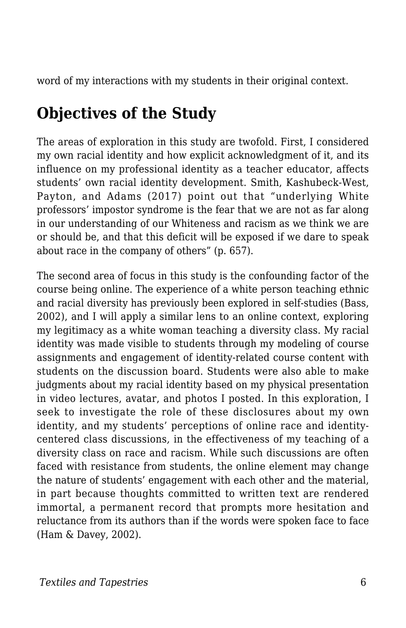word of my interactions with my students in their original context.

# **Objectives of the Study**

The areas of exploration in this study are twofold. First, I considered my own racial identity and how explicit acknowledgment of it, and its influence on my professional identity as a teacher educator, affects students' own racial identity development. Smith, Kashubeck-West, Payton, and Adams (2017) point out that "underlying White professors' impostor syndrome is the fear that we are not as far along in our understanding of our Whiteness and racism as we think we are or should be, and that this deficit will be exposed if we dare to speak about race in the company of others" (p. 657).

The second area of focus in this study is the confounding factor of the course being online. The experience of a white person teaching ethnic and racial diversity has previously been explored in self-studies (Bass, 2002), and I will apply a similar lens to an online context, exploring my legitimacy as a white woman teaching a diversity class. My racial identity was made visible to students through my modeling of course assignments and engagement of identity-related course content with students on the discussion board. Students were also able to make judgments about my racial identity based on my physical presentation in video lectures, avatar, and photos I posted. In this exploration, I seek to investigate the role of these disclosures about my own identity, and my students' perceptions of online race and identitycentered class discussions*,* in the effectiveness of my teaching of a diversity class on race and racism. While such discussions are often faced with resistance from students, the online element may change the nature of students' engagement with each other and the material, in part because thoughts committed to written text are rendered immortal, a permanent record that prompts more hesitation and reluctance from its authors than if the words were spoken face to face (Ham & Davey, 2002).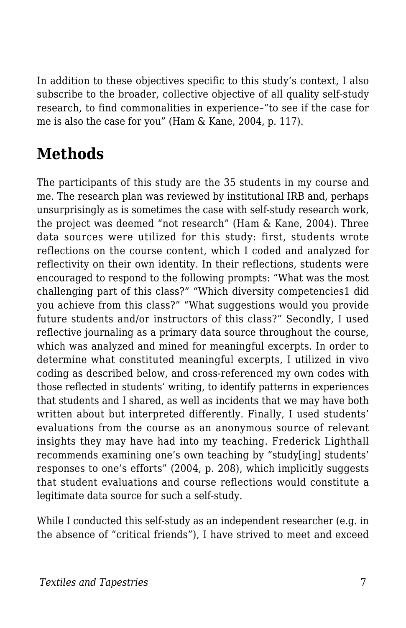In addition to these objectives specific to this study's context, I also subscribe to the broader, collective objective of all quality self-study research, to find commonalities in experience–"to see if the case for me is also the case for you" (Ham & Kane, 2004, p. 117).

# **Methods**

The participants of this study are the 35 students in my course and me. The research plan was reviewed by institutional IRB and, perhaps unsurprisingly as is sometimes the case with self-study research work, the project was deemed "not research" (Ham & Kane, 2004). Three data sources were utilized for this study: first, students wrote reflections on the course content, which I coded and analyzed for reflectivity on their own identity. In their reflections, students were encouraged to respond to the following prompts: "What was the most challenging part of this class?" "Which diversity competencies1 did you achieve from this class?" "What suggestions would you provide future students and/or instructors of this class?" Secondly, I used reflective journaling as a primary data source throughout the course, which was analyzed and mined for meaningful excerpts. In order to determine what constituted meaningful excerpts, I utilized in vivo coding as described below, and cross-referenced my own codes with those reflected in students' writing, to identify patterns in experiences that students and I shared, as well as incidents that we may have both written about but interpreted differently. Finally, I used students' evaluations from the course as an anonymous source of relevant insights they may have had into my teaching. Frederick Lighthall recommends examining one's own teaching by "study[ing] students' responses to one's efforts" (2004, p. 208), which implicitly suggests that student evaluations and course reflections would constitute a legitimate data source for such a self-study.

While I conducted this self-study as an independent researcher (e.g. in the absence of "critical friends"), I have strived to meet and exceed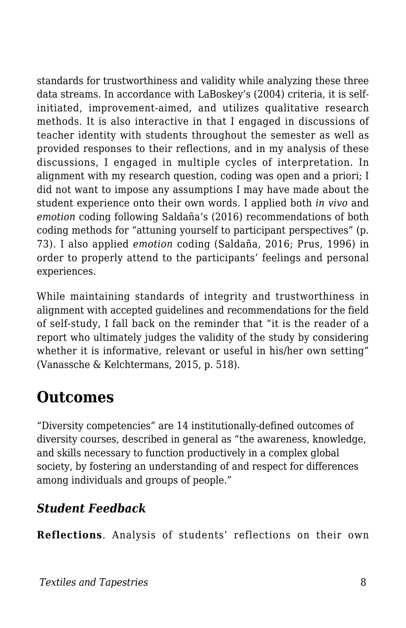standards for trustworthiness and validity while analyzing these three data streams. In accordance with LaBoskey's (2004) criteria, it is selfinitiated, improvement-aimed, and utilizes qualitative research methods. It is also interactive in that I engaged in discussions of teacher identity with students throughout the semester as well as provided responses to their reflections, and in my analysis of these discussions, I engaged in multiple cycles of interpretation. In alignment with my research question, coding was open and a priori; I did not want to impose any assumptions I may have made about the student experience onto their own words. I applied both *in vivo* and *emotion* coding following Saldaña's (2016) recommendations of both coding methods for "attuning yourself to participant perspectives" (p. 73). I also applied *emotion* coding (Saldaña, 2016; Prus, 1996) in order to properly attend to the participants' feelings and personal experiences.

While maintaining standards of integrity and trustworthiness in alignment with accepted guidelines and recommendations for the field of self-study, I fall back on the reminder that "it is the reader of a report who ultimately judges the validity of the study by considering whether it is informative, relevant or useful in his/her own setting" (Vanassche & Kelchtermans, 2015, p. 518).

### **Outcomes**

"Diversity competencies" are 14 institutionally-defined outcomes of diversity courses, described in general as "the awareness, knowledge, and skills necessary to function productively in a complex global society, by fostering an understanding of and respect for differences among individuals and groups of people."

#### *Student Feedback*

**Reflections**. Analysis of students' reflections on their own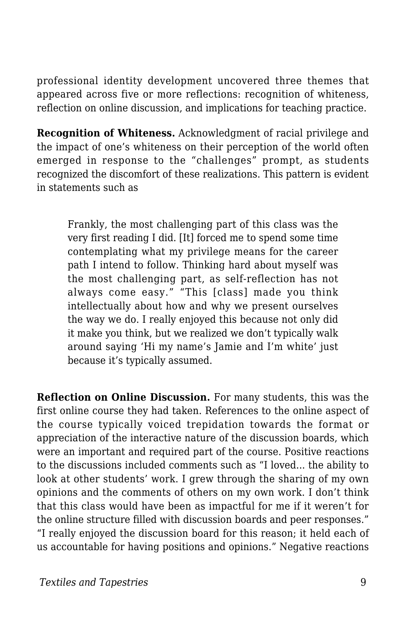professional identity development uncovered three themes that appeared across five or more reflections: recognition of whiteness, reflection on online discussion, and implications for teaching practice.

**Recognition of Whiteness.** Acknowledgment of racial privilege and the impact of one's whiteness on their perception of the world often emerged in response to the "challenges" prompt, as students recognized the discomfort of these realizations. This pattern is evident in statements such as

Frankly, the most challenging part of this class was the very first reading I did. [It] forced me to spend some time contemplating what my privilege means for the career path I intend to follow. Thinking hard about myself was the most challenging part, as self-reflection has not always come easy." "This [class] made you think intellectually about how and why we present ourselves the way we do. I really enjoyed this because not only did it make you think, but we realized we don't typically walk around saying 'Hi my name's Jamie and I'm white' just because it's typically assumed.

**Reflection on Online Discussion.** For many students, this was the first online course they had taken. References to the online aspect of the course typically voiced trepidation towards the format or appreciation of the interactive nature of the discussion boards, which were an important and required part of the course. Positive reactions to the discussions included comments such as "I loved... the ability to look at other students' work. I grew through the sharing of my own opinions and the comments of others on my own work. I don't think that this class would have been as impactful for me if it weren't for the online structure filled with discussion boards and peer responses." "I really enjoyed the discussion board for this reason; it held each of us accountable for having positions and opinions." Negative reactions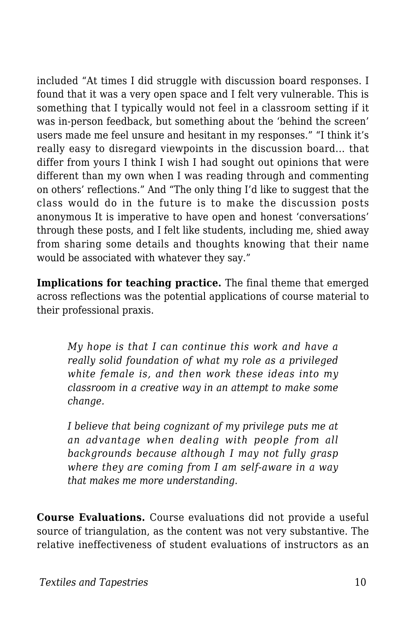included "At times I did struggle with discussion board responses. I found that it was a very open space and I felt very vulnerable. This is something that I typically would not feel in a classroom setting if it was in-person feedback, but something about the 'behind the screen' users made me feel unsure and hesitant in my responses." "I think it's really easy to disregard viewpoints in the discussion board... that differ from yours I think I wish I had sought out opinions that were different than my own when I was reading through and commenting on others' reflections." And "The only thing I'd like to suggest that the class would do in the future is to make the discussion posts anonymous It is imperative to have open and honest 'conversations' through these posts, and I felt like students, including me, shied away from sharing some details and thoughts knowing that their name would be associated with whatever they say."

**Implications for teaching practice.** The final theme that emerged across reflections was the potential applications of course material to their professional praxis.

*My hope is that I can continue this work and have a really solid foundation of what my role as a privileged white female is, and then work these ideas into my classroom in a creative way in an attempt to make some change.*

*I believe that being cognizant of my privilege puts me at an advantage when dealing with people from all backgrounds because although I may not fully grasp where they are coming from I am self-aware in a way that makes me more understanding.*

**Course Evaluations.** Course evaluations did not provide a useful source of triangulation, as the content was not very substantive. The relative ineffectiveness of student evaluations of instructors as an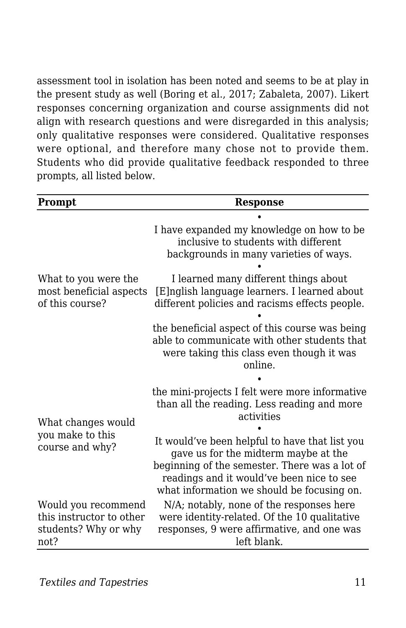assessment tool in isolation has been noted and seems to be at play in the present study as well (Boring et al., 2017; Zabaleta, 2007). Likert responses concerning organization and course assignments did not align with research questions and were disregarded in this analysis; only qualitative responses were considered. Qualitative responses were optional, and therefore many chose not to provide them. Students who did provide qualitative feedback responded to three prompts, all listed below.

| <b>Prompt</b>                                                                   | <b>Response</b>                                                                                                                                                                                                                                                                                     |
|---------------------------------------------------------------------------------|-----------------------------------------------------------------------------------------------------------------------------------------------------------------------------------------------------------------------------------------------------------------------------------------------------|
| What to you were the<br>most beneficial aspects<br>of this course?              | I have expanded my knowledge on how to be<br>inclusive to students with different<br>backgrounds in many varieties of ways.                                                                                                                                                                         |
|                                                                                 | I learned many different things about<br>[E]nglish language learners. I learned about<br>different policies and racisms effects people.                                                                                                                                                             |
|                                                                                 | the beneficial aspect of this course was being<br>able to communicate with other students that<br>were taking this class even though it was<br>online.                                                                                                                                              |
| What changes would<br>you make to this<br>course and why?                       | the mini-projects I felt were more informative<br>than all the reading. Less reading and more<br>activities<br>It would've been helpful to have that list you<br>gave us for the midterm maybe at the<br>beginning of the semester. There was a lot of<br>readings and it would've been nice to see |
| Would you recommend<br>this instructor to other<br>students? Why or why<br>not? | what information we should be focusing on.<br>N/A; notably, none of the responses here<br>were identity-related. Of the 10 qualitative<br>responses, 9 were affirmative, and one was<br>left blank.                                                                                                 |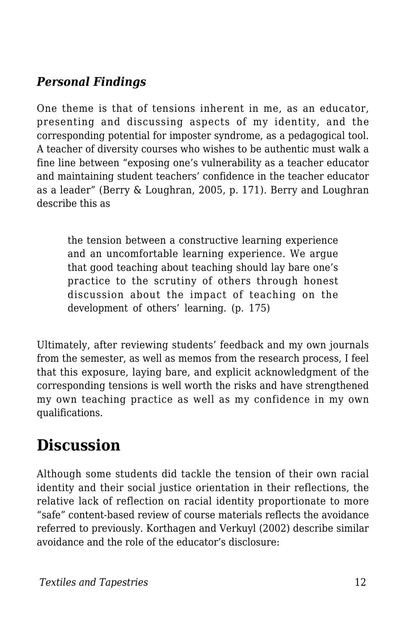#### *Personal Findings*

One theme is that of tensions inherent in me, as an educator, presenting and discussing aspects of my identity, and the corresponding potential for imposter syndrome, as a pedagogical tool. A teacher of diversity courses who wishes to be authentic must walk a fine line between "exposing one's vulnerability as a teacher educator and maintaining student teachers' confidence in the teacher educator as a leader" (Berry & Loughran, 2005, p. 171). Berry and Loughran describe this as

the tension between a constructive learning experience and an uncomfortable learning experience. We argue that good teaching about teaching should lay bare one's practice to the scrutiny of others through honest discussion about the impact of teaching on the development of others' learning. (p. 175)

Ultimately, after reviewing students' feedback and my own journals from the semester, as well as memos from the research process, I feel that this exposure, laying bare, and explicit acknowledgment of the corresponding tensions is well worth the risks and have strengthened my own teaching practice as well as my confidence in my own qualifications.

## **Discussion**

Although some students did tackle the tension of their own racial identity and their social justice orientation in their reflections, the relative lack of reflection on racial identity proportionate to more "safe" content-based review of course materials reflects the avoidance referred to previously. Korthagen and Verkuyl (2002) describe similar avoidance and the role of the educator's disclosure: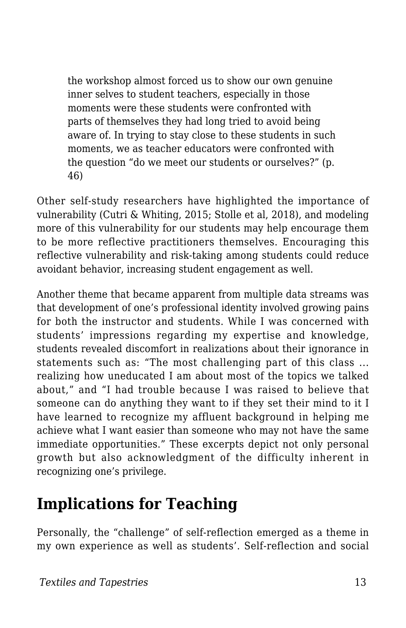the workshop almost forced us to show our own genuine inner selves to student teachers, especially in those moments were these students were confronted with parts of themselves they had long tried to avoid being aware of. In trying to stay close to these students in such moments, we as teacher educators were confronted with the question "do we meet our students or ourselves?" (p. 46)

Other self-study researchers have highlighted the importance of vulnerability (Cutri & Whiting, 2015; Stolle et al, 2018), and modeling more of this vulnerability for our students may help encourage them to be more reflective practitioners themselves. Encouraging this reflective vulnerability and risk-taking among students could reduce avoidant behavior, increasing student engagement as well.

Another theme that became apparent from multiple data streams was that development of one's professional identity involved growing pains for both the instructor and students. While I was concerned with students' impressions regarding my expertise and knowledge, students revealed discomfort in realizations about their ignorance in statements such as: "The most challenging part of this class ... realizing how uneducated I am about most of the topics we talked about," and "I had trouble because I was raised to believe that someone can do anything they want to if they set their mind to it I have learned to recognize my affluent background in helping me achieve what I want easier than someone who may not have the same immediate opportunities." These excerpts depict not only personal growth but also acknowledgment of the difficulty inherent in recognizing one's privilege.

### **Implications for Teaching**

Personally, the "challenge" of self-reflection emerged as a theme in my own experience as well as students'. Self-reflection and social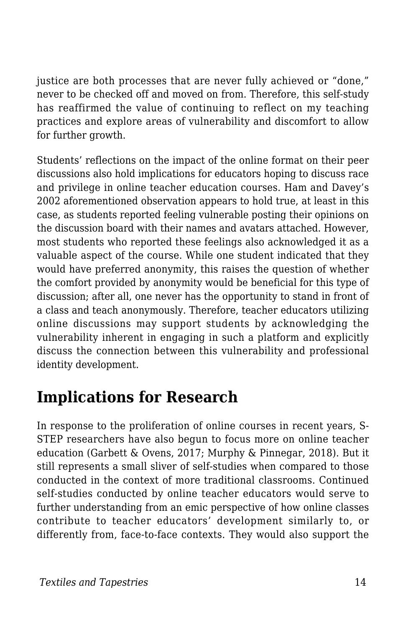justice are both processes that are never fully achieved or "done," never to be checked off and moved on from. Therefore, this self-study has reaffirmed the value of continuing to reflect on my teaching practices and explore areas of vulnerability and discomfort to allow for further growth.

Students' reflections on the impact of the online format on their peer discussions also hold implications for educators hoping to discuss race and privilege in online teacher education courses. Ham and Davey's 2002 aforementioned observation appears to hold true, at least in this case, as students reported feeling vulnerable posting their opinions on the discussion board with their names and avatars attached. However, most students who reported these feelings also acknowledged it as a valuable aspect of the course. While one student indicated that they would have preferred anonymity, this raises the question of whether the comfort provided by anonymity would be beneficial for this type of discussion; after all, one never has the opportunity to stand in front of a class and teach anonymously. Therefore, teacher educators utilizing online discussions may support students by acknowledging the vulnerability inherent in engaging in such a platform and explicitly discuss the connection between this vulnerability and professional identity development.

### **Implications for Research**

In response to the proliferation of online courses in recent years, S-STEP researchers have also begun to focus more on online teacher education (Garbett & Ovens, 2017; Murphy & Pinnegar, 2018). But it still represents a small sliver of self-studies when compared to those conducted in the context of more traditional classrooms. Continued self-studies conducted by online teacher educators would serve to further understanding from an emic perspective of how online classes contribute to teacher educators' development similarly to, or differently from, face-to-face contexts. They would also support the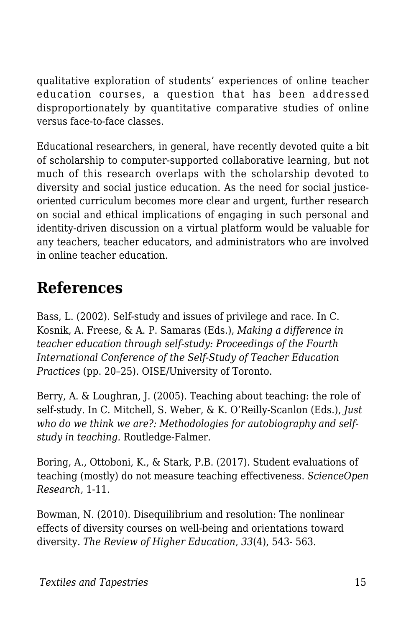qualitative exploration of students' experiences of online teacher education courses, a question that has been addressed disproportionately by quantitative comparative studies of online versus face-to-face classes.

Educational researchers, in general, have recently devoted quite a bit of scholarship to computer-supported collaborative learning, but not much of this research overlaps with the scholarship devoted to diversity and social justice education. As the need for social justiceoriented curriculum becomes more clear and urgent, further research on social and ethical implications of engaging in such personal and identity-driven discussion on a virtual platform would be valuable for any teachers, teacher educators, and administrators who are involved in online teacher education.

# **References**

Bass, L. (2002). Self-study and issues of privilege and race. In C. Kosnik, A. Freese, & A. P. Samaras (Eds.), *Making a difference in teacher education through self-study: Proceedings of the Fourth International Conference of the Self-Study of Teacher Education Practices* (pp. 20–25). OISE/University of Toronto.

Berry, A. & Loughran, J. (2005). Teaching about teaching: the role of self-study. In C. Mitchell, S. Weber, & K. O'Reilly-Scanlon (Eds.), *Just who do we think we are?: Methodologies for autobiography and selfstudy in teaching.* Routledge-Falmer.

Boring, A., Ottoboni, K., & Stark, P.B. (2017). Student evaluations of teaching (mostly) do not measure teaching effectiveness. *ScienceOpen Research,* 1-11.

Bowman, N. (2010). Disequilibrium and resolution: The nonlinear effects of diversity courses on well-being and orientations toward diversity. *The Review of Higher Education*, *33*(4), 543- 563.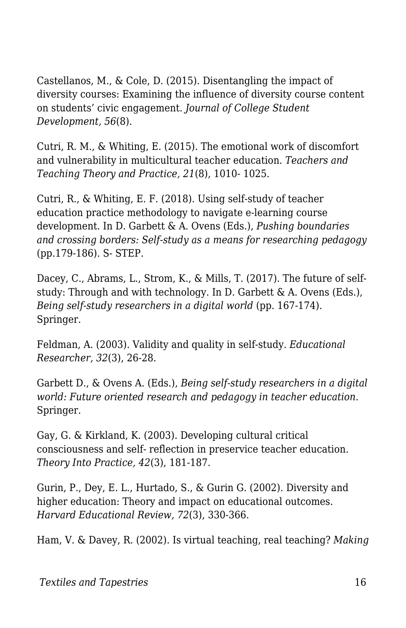Castellanos, M., & Cole, D. (2015). Disentangling the impact of diversity courses: Examining the influence of diversity course content on students' civic engagement. *Journal of College Student Development, 56*(8).

Cutri, R. M., & Whiting, E. (2015). The emotional work of discomfort and vulnerability in multicultural teacher education. *Teachers and Teaching Theory and Practice, 21*(8), 1010- 1025.

Cutri, R., & Whiting, E. F. (2018). Using self-study of teacher education practice methodology to navigate e-learning course development. In D. Garbett & A. Ovens (Eds.), *Pushing boundaries and crossing borders: Self-study as a means for researching pedagogy* (pp.179-186). S- STEP.

Dacey, C., Abrams, L., Strom, K., & Mills, T. (2017). The future of selfstudy: Through and with technology. In D. Garbett & A. Ovens (Eds.), *Being self-study researchers in a digital world* (pp. 167-174)*.* Springer.

Feldman, A. (2003). Validity and quality in self-study. *Educational Researcher, 32*(3), 26-28.

Garbett D., & Ovens A. (Eds.), *Being self-study researchers in a digital world: Future oriented research and pedagogy in teacher education*. Springer.

Gay, G. & Kirkland, K. (2003). Developing cultural critical consciousness and self- reflection in preservice teacher education. *Theory Into Practice, 42*(3), 181-187.

Gurin, P., Dey, E. L., Hurtado, S., & Gurin G. (2002). Diversity and higher education: Theory and impact on educational outcomes. *Harvard Educational Review, 72*(3), 330-366.

Ham, V. & Davey, R. (2002). Is virtual teaching, real teaching? *Making*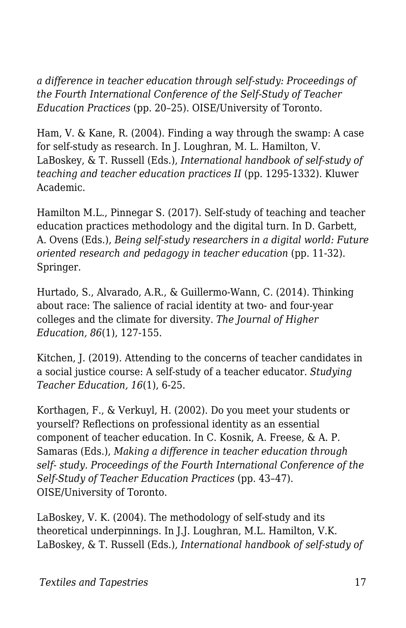*a difference in teacher education through self-study: Proceedings of the Fourth International Conference of the Self-Study of Teacher Education Practices* (pp. 20–25). OISE/University of Toronto.

Ham, V. & Kane, R. (2004). Finding a way through the swamp: A case for self-study as research. In J. Loughran, M. L. Hamilton, V. LaBoskey, & T. Russell (Eds.), *International handbook of self-study of teaching and teacher education practices II* (pp. 1295-1332). Kluwer Academic.

Hamilton M.L., Pinnegar S. (2017). Self-study of teaching and teacher education practices methodology and the digital turn. In D. Garbett, A. Ovens (Eds.), *Being self-study researchers in a digital world: Future oriented research and pedagogy in teacher education* (pp. 11-32). Springer.

Hurtado, S., Alvarado, A.R., & Guillermo-Wann, C. (2014). Thinking about race: The salience of racial identity at two- and four-year colleges and the climate for diversity. *The Journal of Higher Education, 86*(1), 127-155.

Kitchen, J. (2019). Attending to the concerns of teacher candidates in a social justice course: A self-study of a teacher educator. *Studying Teacher Education, 16*(1), 6-25.

Korthagen, F., & Verkuyl, H. (2002). Do you meet your students or yourself? Reflections on professional identity as an essential component of teacher education. In C. Kosnik, A. Freese, & A. P. Samaras (Eds.), *Making a difference in teacher education through self- study. Proceedings of the Fourth International Conference of the Self-Study of Teacher Education Practices* (pp. 43–47). OISE/University of Toronto.

LaBoskey, V. K. (2004). The methodology of self-study and its theoretical underpinnings. In J.J. Loughran, M.L. Hamilton, V.K. LaBoskey, & T. Russell (Eds.), *International handbook of self-study of*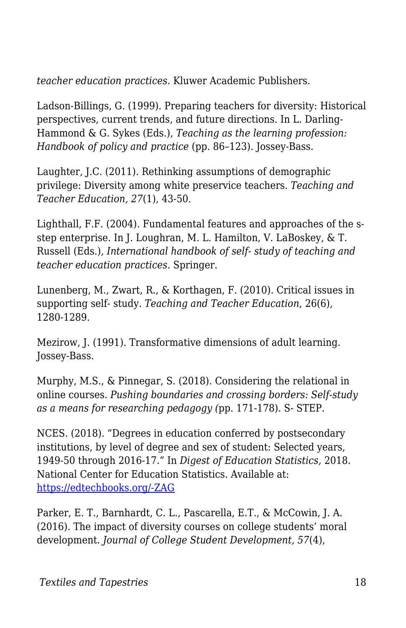*teacher education practices.* Kluwer Academic Publishers.

Ladson-Billings, G. (1999). Preparing teachers for diversity: Historical perspectives, current trends, and future directions. In L. Darling-Hammond & G. Sykes (Eds.), *Teaching as the learning profession: Handbook of policy and practice* (pp. 86–123). Jossey-Bass.

Laughter, J.C. (2011). Rethinking assumptions of demographic privilege: Diversity among white preservice teachers. *Teaching and Teacher Education, 27*(1), 43-50.

Lighthall, F.F. (2004). Fundamental features and approaches of the sstep enterprise. In J. Loughran, M. L. Hamilton, V. LaBoskey, & T. Russell (Eds.), *International handbook of self- study of teaching and teacher education practices.* Springer.

Lunenberg, M., Zwart, R., & Korthagen, F. (2010). Critical issues in supporting self- study. *Teaching and Teacher Education*, 26(6), 1280-1289.

Mezirow, J. (1991). Transformative dimensions of adult learning. Jossey-Bass.

Murphy, M.S., & Pinnegar, S. (2018). Considering the relational in online courses. *Pushing boundaries and crossing borders: Self-study as a means for researching pedagogy (*pp. 171-178). S- STEP.

NCES. (2018). "Degrees in education conferred by postsecondary institutions, by level of degree and sex of student: Selected years, 1949-50 through 2016-17." In *Digest of Education Statistics,* 2018. National Center for Education Statistics. Available at: [https://edtechbooks.org/-ZAG](https://nces.ed.gov/programs/digest/d18/tables/dt18_325.40.asp)

Parker, E. T., Barnhardt, C. L., Pascarella, E.T., & McCowin, J. A. (2016). The impact of diversity courses on college students' moral development. *Journal of College Student Development, 57*(4),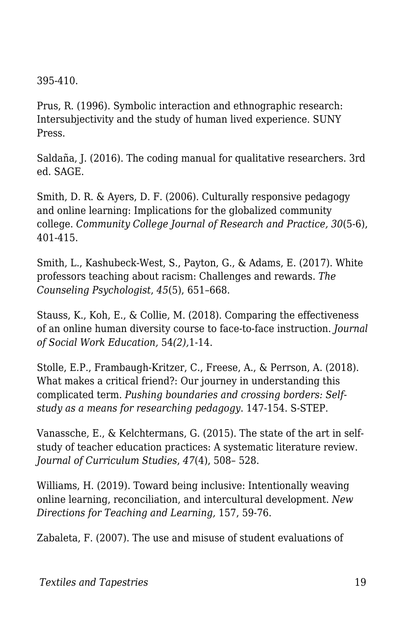395-410.

Prus, R. (1996). Symbolic interaction and ethnographic research: Intersubjectivity and the study of human lived experience. SUNY Press.

Saldaña, J. (2016). The coding manual for qualitative researchers. 3rd ed. SAGE.

Smith, D. R. & Ayers, D. F. (2006). Culturally responsive pedagogy and online learning: Implications for the globalized community college. *Community College Journal of Research and Practice, 30*(5-6), 401-415.

Smith, L., Kashubeck-West, S., Payton, G., & Adams, E. (2017). White professors teaching about racism: Challenges and rewards. *The Counseling Psychologist*, *45*(5), 651–668.

Stauss, K., Koh, E., & Collie, M. (2018). Comparing the effectiveness of an online human diversity course to face-to-face instruction. *Journal of Social Work Education,* 54*(2),*1-14.

Stolle, E.P., Frambaugh-Kritzer, C., Freese, A., & Perrson, A. (2018). What makes a critical friend?: Our journey in understanding this complicated term. *Pushing boundaries and crossing borders: Selfstudy as a means for researching pedagogy*. 147-154. S-STEP.

Vanassche, E., & Kelchtermans, G. (2015). The state of the art in selfstudy of teacher education practices: A systematic literature review. *Journal of Curriculum Studies*, *47*(4), 508– 528.

Williams, H. (2019). Toward being inclusive: Intentionally weaving online learning, reconciliation, and intercultural development. *New Directions for Teaching and Learning,* 157, 59-76.

Zabaleta, F. (2007). The use and misuse of student evaluations of